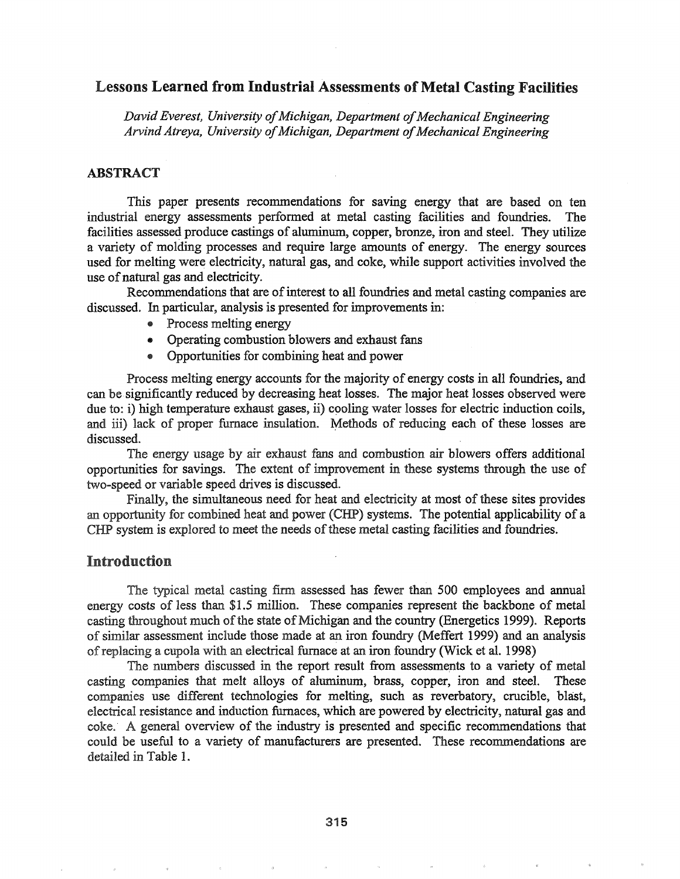# Lessons Learned from Industrial Assessments of Metal Casting Facilities

*David Everest, University of Michigan, Department of Mechanical Engineering ArvindAtreya, University ofMichigan, Department ofMechanical Engineering*

## ABSTRACT

This paper presents recommendations for saving energy that are based on ten industrial energy assessments performed at metal casting facilities and foundries. The facilities assessed produce castings of aluminum, copper, bronze, iron and steel. They utilize a variety of molding processes and require large amounts of energy. The energy sources used for melting were electricity, natural gas, and coke, while support activities involved the use ofnatural gas and electricity.

Recommendations that are of interest to all foundries and metal casting companies are discussed. In particular, analysis is presented for improvements in:

- Process melting energy
- Operating combustion blowers and exhaust fans
- Opportunities for combining heat and power

Process melting energy accounts for the majority of energy costs in all foundries, and can be significantly reduced by decreasing heat losses. The major heat losses observed were due to: i) high temperature exhaust gases, ii) cooling water losses for electric induction coils, and iii) lack of proper furnace insulation. Methods of reducing each of these losses are discussed.

The energy usage by air exhaust fans and combustion air blowers offers additional opportunities for savings. The extent of improvement in these systems through the use of two-speed or variable speed drives is discussed.

Finally, the simultaneous need for heat and electricity at most of these sites provides an opportunity for combined heat and power (CHP) systems. The potential applicability of a CHP system is explored to meet the needs of these metal casting facilities and foundries.

### Introduction

The typical metal casting firm assessed has fewer than 500 employees and annual energy costs of less than \$1.5 million. These companies represent the backbone of metal casting throughout much of the state of Michigan and the country (Energetics 1999). Reports of similar assessment include those made at an iron foundry (Meffert 1999) and an analysis of replacing a cupola with an electrical furnace at an iron foundry (Wick et al. 1998)

The numbers discussed in the report result from assessments to a variety of metal casting companies that melt alloys of aluminum, brass, copper, iron and steel.. These companies use different technologies for melting, such as reverbatory, crucible, blast, electrical resistance and induction furnaces, which are powered by electricity, natural gas and coke. A general overview of the industry is presented and specific recommendations that could be useful to a variety of manufacturers are presented.. These recommendations are detailed in Table 1.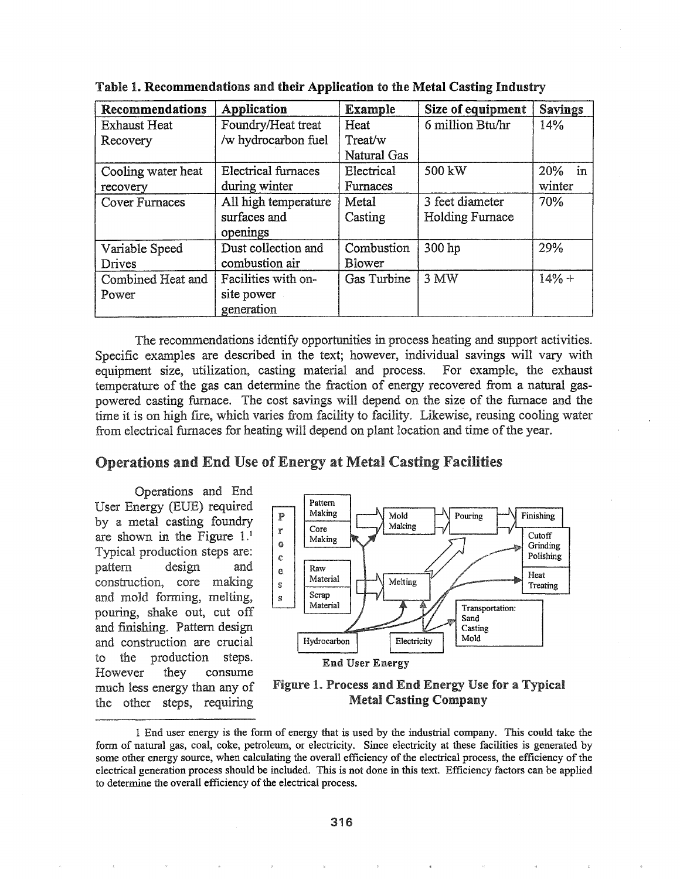| Recommendations       | Application                | <b>Example</b>     | Size of equipment      | <b>Savings</b> |
|-----------------------|----------------------------|--------------------|------------------------|----------------|
| <b>Exhaust Heat</b>   | Foundry/Heat treat         | Heat               | 6 million Btu/hr       | 14%            |
| Recovery              | /w hydrocarbon fuel        | Treat/w            |                        |                |
|                       |                            | Natural Gas        |                        |                |
| Cooling water heat    | <b>Electrical furnaces</b> | Electrical         | 500 kW                 | 20% in         |
| recovery              | during winter              | Furnaces           |                        | winter         |
| <b>Cover Furnaces</b> | All high temperature       | Metal              | 3 feet diameter        | 70%            |
|                       | surfaces and               | Casting            | <b>Holding Furnace</b> |                |
|                       | openings                   |                    |                        |                |
| Variable Speed        | Dust collection and        | Combustion         | 300 hp                 | 29%            |
| Drives                | combustion air             | <b>Blower</b>      |                        |                |
| Combined Heat and     | Facilities with on-        | <b>Gas Turbine</b> | 3 MW                   | $14% +$        |
| Power                 | site power                 |                    |                        |                |
|                       | generation                 |                    |                        |                |

Table 1. Recommendations and their Application to the Metal Casting Industry

The recommendations identify opportunities in process heating and support activities. Specific examples are described in the text; however, individual savings will vary with equipment size, utilization, casting material and process. For example, the exhaust temperature of the gas can determine the fraction of energy recovered from a natural gaspowered casting furnace. The cost savings will depend on the size of the furnace and the time it is on high fire, which varies from facility to facility. Likewise, reusing cooling water from electrical furnaces for heating will depend on plant location and time of the year.

#### Operations and End Use of Energy at Metal Casting Facilities

Operations and End Energy (EVE) required by a metal casting foundry are shown in the Figure  $1<sup>1</sup>$ Typical production steps are: pattern design and construction, core making and mold forming, melting, pouring, shake out, cut off and finishing. Pattern design and construction are crucial the production steps. to : However they consume much less energy than any of the other steps, requiring



Figure 1. Process and End Energy Use for a Typical Metal Casting Company

<sup>1</sup> End user energy is the fonn of energy that is used by the industrial company. This could take the form of natural gas, coal, coke, petroleum, or electricity. Since electricity at these facilities is generated by some other energy source, when calculating the overall efficiency of the electrical process, the efficiency of the electrical generation process should be included. This is not done in this text. Efficiency factors can be applied to determine the overall efficiency of the electrical process.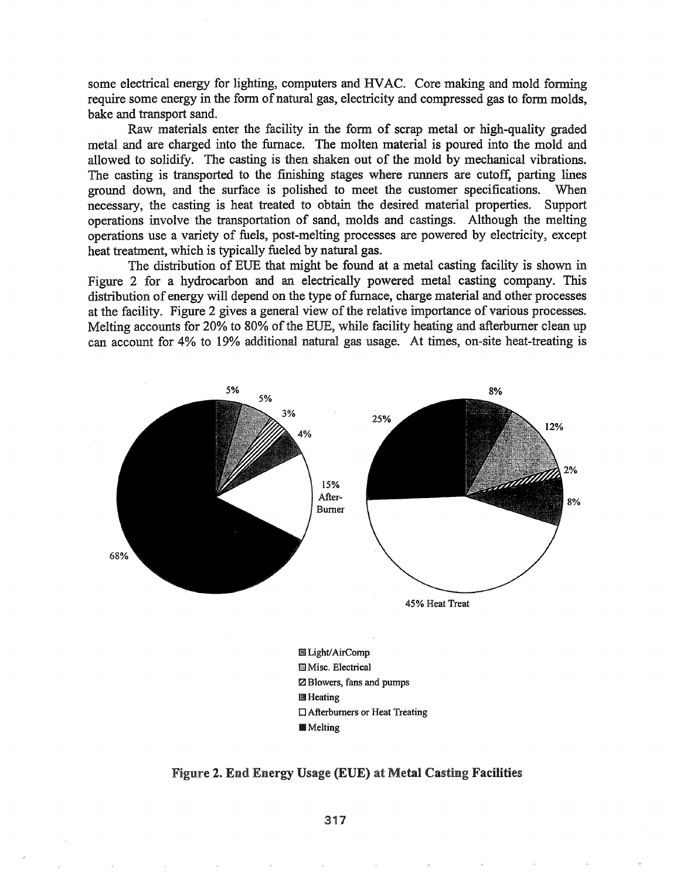some electrical energy for lighting, computers and HVAC. Core making and mold forming require some energy in the form of natural gas, electricity and compressed gas to form molds, bake and transport sand.

Raw materials enter the facility in the form of scrap metal or high-quality graded metal and are charged into the furnace. The molten material is poured into the mold and allowed to solidify. The casting is then shaken out of the mold by mechanical vibrations. The casting is transported to the finishing stages where runners are cutoff, parting lines ground down, and the surface is polished to meet the customer specifications. When necessary, the casting is heat treated to obtain the desired material properties.. Support operations involve the transportation of sand, molds and castings. Although the melting operations use a variety of fuels, post-melting processes are powered by electricity, except heat treatment, which is typically fueled by natural gas.

The distribution of EVE that might be found at a metal casting facility is shown in Figure 2 for a hydrocarbon and an electrically powered metal casting company. This distribution of energy will depend on the type of furnace, charge material and other processes at the facility. Figure 2 gives a general view of the relative importance of various processes. Melting accounts for 20% to 80% of the EUE, while facility heating and afterburner clean up can account for 4% to 19% additional natural gas usage.. At times, on-site heat-treating is



Figure 2. End Energy Usage (EUE) at Metal Casting Facilities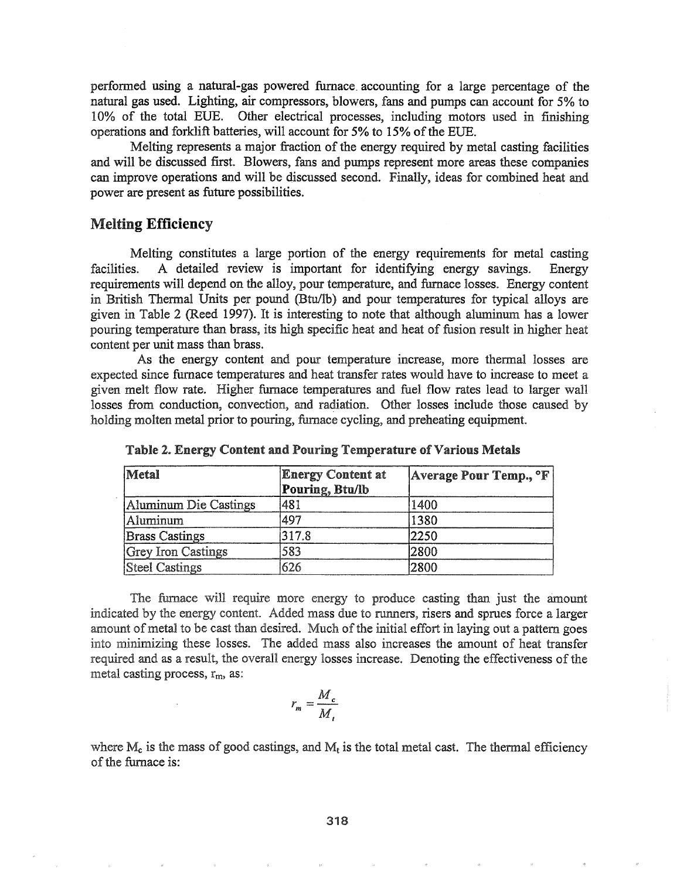performed using a natural-gas powered furnace. accounting for a large percentage of the natural gas used. Lighting, air compressors, blowers, fans and pumps can account for 5% to 10% of the total EUB~ Other electrical processes, including motors used in finishing operations and forklift batteries, will account for 5% to 15% of the EUE.

Melting represents a major fraction of the energy required by metal casting facilities and will be discussed first. Blowers, fans and pumps represent more areas these companies can improve operations and will be djscussed second. Finally, ideas for combined heat and power are present as future possibilities.

### Melting Efficiency

Melting constitutes a large portion of the energy requirements for metal casting facilities.. A detailed review is important for identifying energy savings. Energy requirements will depend on the alloy, pour temperature, and furnace losses.. Energy content in British Thermal Units per pound (Btu/lb) and pour temperatures for typical alloys are given in Table 2 (Reed 1997). It is interesting to note that although aluminum has a lower pouring temperature than brass, its high specific heat and heat of fusion result in higher heat content per unit mass than brass.

As the energy content and pour temperature increase, more thennal losses are expected since furnace temperatures and heat transfer rates would have to increase to meet a given melt flow rate. Higher furnace temperatures and fuel flow rates lead to larger wall losses from conduction, convection, and radiation. Other losses include those caused by holding molten metal prior to pouring, furnace cycling, and preheating equipment.

| Metal                 | <b>Energy Content at</b><br>Pouring, Btu/lb | Average Pour Temp., <sup>o</sup> F |
|-----------------------|---------------------------------------------|------------------------------------|
| Aluminum Die Castings | 481                                         | 1400                               |
| Aluminum              | 497                                         | 1380                               |
| <b>Brass Castings</b> | 317.8                                       | 2250                               |
| Grey Iron Castings    | 583                                         | 2800                               |
| <b>Steel Castings</b> | 626                                         | 2800                               |

Table 2. Energy Content and Pouring Temperature of Various Metals

The furnace will require more energy to produce casting than just the amount indicated by the energy content. Added mass due to runners, risers and sprues force a larger amount of metal to be cast than desired. Much of the initial effort in laying out a pattern goes into minimizing these losses. The added mass also increases the amount of heat transfer required and as a result, the overall energy losses increase. Denoting the effectiveness of the metal casting process,  $r_m$ , as:

$$
r_m = \frac{M_c}{M_t}
$$

where  $M_c$  is the mass of good castings, and  $M_t$  is the total metal cast. The thermal efficiency of the furnace is: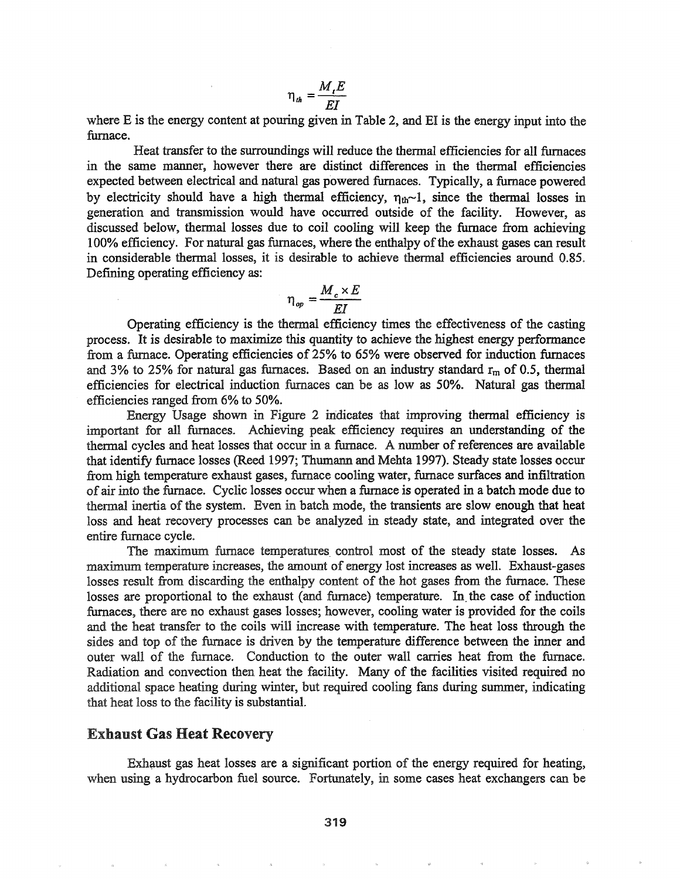$$
\eta_{th} = \frac{M_{t}E}{EI}
$$

where E is the energy content at pouring given in Table 2, and EI is the energy input into the furnace.

Heat transfer to the surroundings will reduce the thermal efficiencies for all furnaces in the same manner, however there are distinct differences in the thermal efficiencies expected between electrical and natural gas powered furnaces. Typically, a furnace powered by electricity should have a high thermal efficiency,  $\eta_{th}$ -1, since the thermal losses in generation and transmission would have occurred outside of the facility. However, as discussed below, thermal losses due to coil cooling will keep the furnace from achieving 100% efficiency. For natural gas furnaces, where the enthalpy of the exhaust gases can result in considerable thermal losses, it is desirable to achieve thermal efficiencies around 0.85. Defining operating efficiency as:

$$
\eta_{op} = \frac{M_c \times E}{EI}
$$

Operating efficiency is the thermal efficiency times the effectiveness of the casting process. It is desirable to maximize this quantity to achieve the highest energy performance from a furnace. Operating efficiencies of 25% to 65% were observed 'for induction furnaces and 3% to 25% for natural gas furnaces. Based on an industry standard  $r_m$  of 0.5, thermal efficiencies for electrical induction furnaces can be as low as 50%. Natural gas thermal efficiencies ranged from 6% to 50%..

Energy Usage shown in Figure 2 indicates that improving thermal efficiency is important for all furnaces.. Achieving peak efficiency requires an understanding of the thermal cycles and heat losses that occur in a furnace. A number of references are available that identify furnace losses (Reed 1997; Thumann and Mehta 1997).. Steady state losses occur from high temperature exhaust gases, furnace cooling water, furnace surfaces and infiltration ofair into the furnace.. Cyclic losses occur when a furnace is operated in a batch mode due to thermal inertia of the system. Even in batch mode, the transients are slow enough that heat loss and heat recovery processes can be analyzed in steady state, and integrated over the entire furnace cycle.

The maximum furnace temperatures control most of the steady state losses. As maximum temperature increases, the amount of energy lost increases as well. Exhaust-gases losses result from discarding the enthalpy content of the hot gases from the furnace. These losses are proportional to the exhaust (and furnace) temperature. In the case of induction furnaces, there are no exhaust gases losses; however, cooling water is provided for the coils and the heat transfer to the coils will increase with temperature. The heat loss through the sides and top of the furnace is driven by the temperature difference between the inner and outer wall of the furnace. Conduction to the outer wall carries heat from the furnace. Radiation and convection then heat the facility. Many of the facilities visited required no additional space heating during winter, but required cooling fans during summer, indicating that heat loss to the facility is substantial.

#### Exhaust Gas Heat Recovery

Exhaust gas heat losses are a significant portion of the energy required for heating, when using a hydrocarbon fuel source. Fortunately, in some cases heat exchangers can be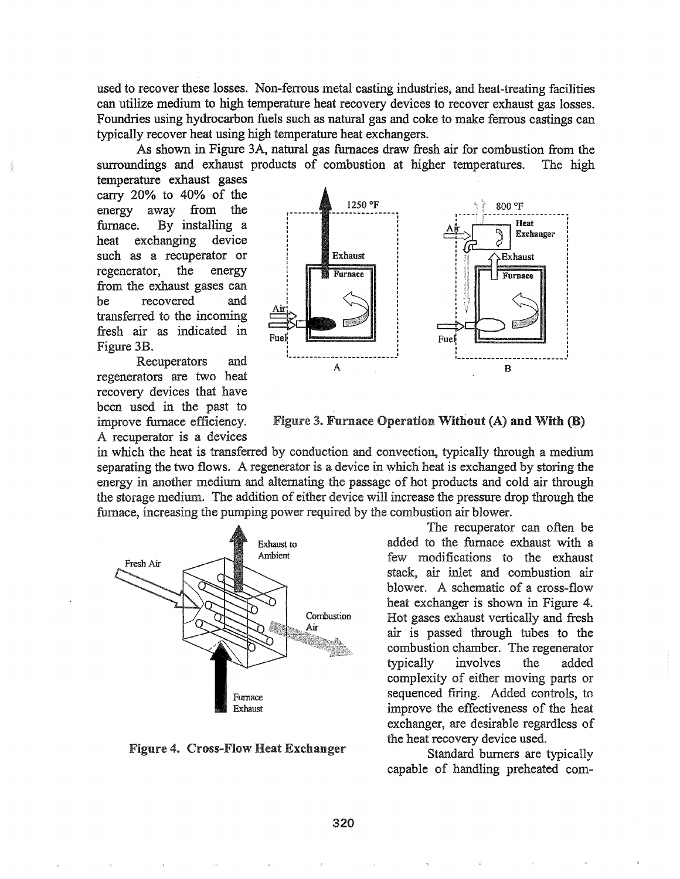used to recover these losses. Non-ferrous metal casting industries, and heat-treating facilities can utilize medium to high temperature heat recovery devices to recover exhaust gas losses. Foundries using hydrocarbon fuels such as natural gas and coke to make ferrous castings can typically recover heat using high temperature heat exchangers..

As shown in Figure 3A, natural gas furnaces draw fresh air for combustion from the surroundings and exhaust products of combustion at higher temperatures. The high

temperature exhaust gases carry 20% to 40% of the energy away from the furnace. By installing a heat exchanging device such as a recuperator or regenerator, the energy from the exhaust gases can be recovered and transferred to the incoming fresh air as indicated Figure 3B.

Recuperators and regenerators are two heat recovery devices that have been used in the past to improve furnace efficiency. A recuperator is a devices



Figure 3. Furnace Operation Without (A) and With (B)

in which the heat is transferred by conduction and convection, typically through a medium separating the two flows. A regenerator is a device in which heat is exchanged by storing the energy in another medium and alternating the passage of hot products and cold air through the storage medium. The addition of either device will increase the pressure drop through the furnace, increasing the pumping power required by the combustion air blower.



Figure 4. Cross-Flow Heat Exchanger

The recuperator can often be added to the furnace exhaust with a few modifications to the exhaust stack, air inlet and combustion air blower. A schematic of a cross-flow heat exchanger is shown in Figure 4. Hot gases exhaust vertically and fresh air is passed through tubes to the combustion chamber. The regenerator typically involves the added complexity of either moving parts or sequenced firing. Added controls, to improve the effectiveness of the heat exchanger, are desirable regardless of the heat recovery device used.

Standard burners are typically capable of handling preheated com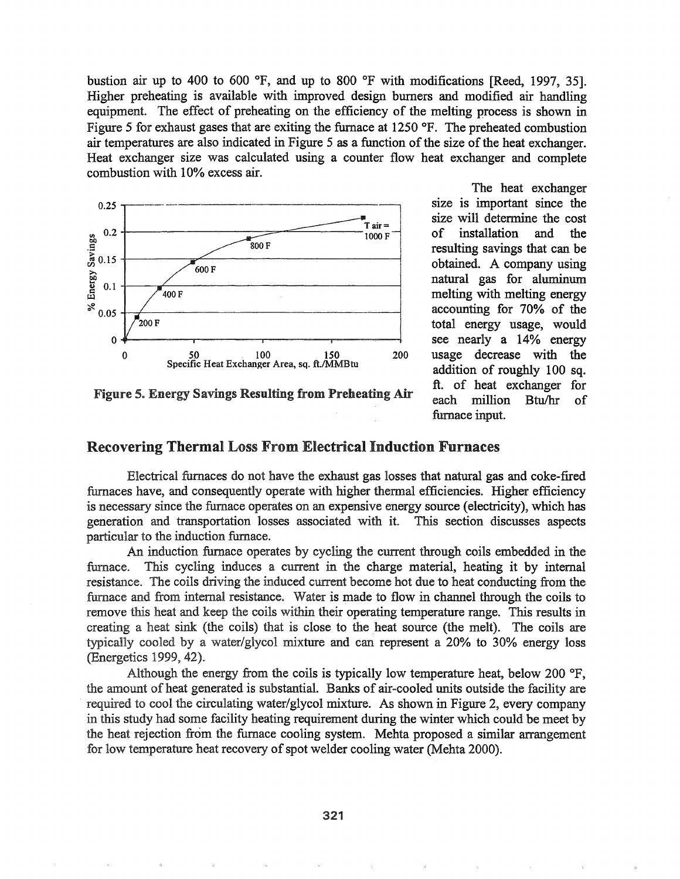bustion air up to 400 to 600  $^{\circ}$ F, and up to 800  $^{\circ}$ F with modifications [Reed, 1997, 35]. Higher preheating is available with improved design burners and modified air handling equipment. The effect of preheating on the efficiency of the melting process is shown in Figure 5 for exhaust gases that are exiting the furnace at  $1250$  °F. The preheated combustion air temperatures are also indicated in Figure 5 as a function of the size of the heat exchanger. Heat exchanger size was calculated using a counter flow heat exchanger and complete  $computation with 10% excess air.$ 



Figure 5. Energy Savings Resulting from Preheating Air

The heat exchanger size is important since the size will determine the cost of installation and the resulting savings that can be obtained. A company using natural gas for aluminum melting with melting energy accounting for 70% of the total energy usage, would see nearly a 14% energy usage decrease with the addition of roughly 100 sq. ft. of heat exchanger for each million Btu/hr of furnace input.

# Recovering Thermal Loss From Electrical Induction Furnaces

Electrical furnaces do not have the exhaust gas losses that natural gas and coke-fired furnaces have, and consequently operate with higher thermal efficiencies. Higher efficiency is necessary since the furnace operates on an expensive energy source (electricity), which has generation and transportation losses associated with it. This section discusses aspects particular to the induction furnace.

An induction furnace operates by cycling the current through coils embedded in the furnace. This cycling induces a current in the charge material, heating it by internal resistance. The coils driving the induced current become hot due to heat conducting from the furnace and from internal resistance. Water is made to flow in channel through the coils to remove this heat and keep the coils within their operating temperature range. This results in creating a heat sink (the coils) that is close to the heat source (the melt). The coils are typically cooled by a water/glycol mixture and can represent a 20% to 30% energy loss (Energetics 1999, 42).

Although the energy from the coils is typically low temperature heat, below 200  $\textdegree$ F, the amount of heat generated is substantial. Banks of air-cooled units outside the facility are required to cool the circulating water/glycol mixture. As shown in Figure 2, every company in this study had some facility heating requirement during the winter which could be meet by the heat rejection from the furnace cooling system. Mehta proposed a similar arrangement for low temperature heat recovery of spot welder cooling water (Mehta 2000).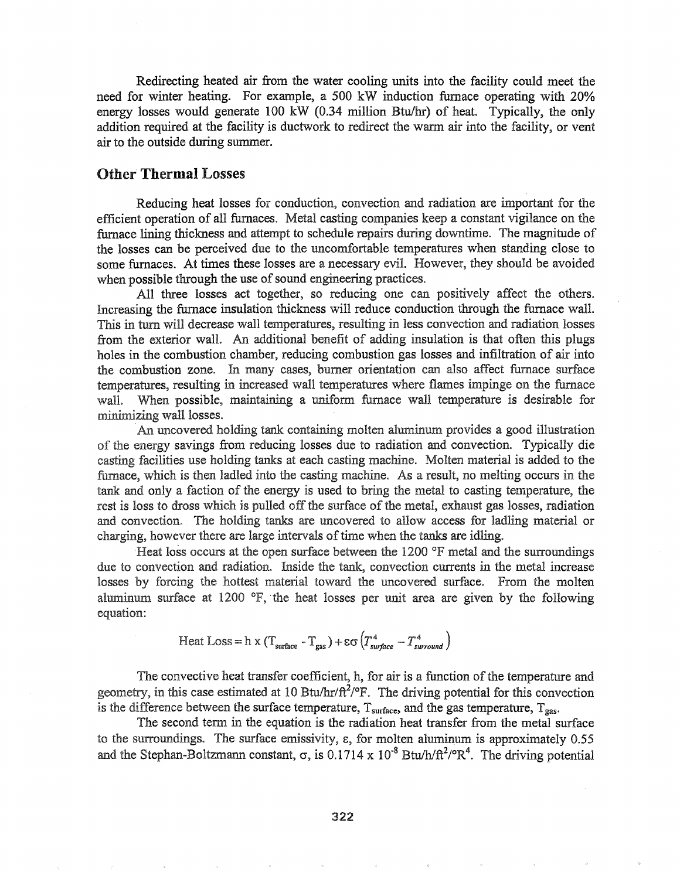Redirecting heated air from the water cooling units into the facility could meet the need for winter heating. For example, a 500 kW induction furnace operating with 20% energy losses would generate 100 kW  $(0.34 \text{ million Btu/hr})$  of heat. Typically, the only addition required at the facility is ductwork to redirect the warm air into the facility, or vent air to the outside during summer.

#### Other Thermal Losses

Reducing heat losses for conduction, convection and radiation are important for the efficient operation of all furnaces. Metal casting companies keep a constant vigilance on the furnace lining thickness and attempt to schedule repairs during downtime. The magnitude of the losses can be perceived due to the uncomfortable temperatures when standing close to some furnaces. At times these losses are a necessary evil. However, they should be avoided when possible through the use of sound engineering practices.

All three losses act together, so reducing one can positively affect the others. Increasing the furnace insulation thickness will reduce conduction through the furnace wall. This in turn will decrease wall temperatures, resulting in less convection and radiation losses from the exterior wall. An additional benefit of adding insulation is that often this plugs holes in the combustion chamber, reducing combustion gas losses and infiltration of air into combustion zone.. In many cases, burner orientation can also affect furnace surface temperatures, resulting in increased wall temperatures where flames impinge on the furnace wall. When possible, maintaining a uniform furnace wall temperature is desirable for  $minimizing$  wall losses.

An uncovered holding tank containing molten aluminum provides a good illustration of the energy savings from reducing losses due to radiation and convection. Typically die casting facilities use holding tanks at each casting machine. Molten material is added to the furnace, which is then ladled into the casting machine. As a result, no melting occurs in the tank and only a faction of the energy is used to bring the metal to casting temperature, the rest is loss to dross which is pulled off the surface of the metal, exhaust gas losses, radiation and convection. The holding tanks are uncovered to allow access for ladling material or charging, however there are large intervals of time when the tanks are idling.

Heat loss occurs at the open surface between the 1200 °F metal and the surroundings due to convection and radiation. Inside the tank, convection currents in the metal increase losses by forcing the hottest material toward the uncovered surface. From the molten aluminum surface at 1200  $\textdegree$ F, the heat losses per unit area are given by the following equation:

Heat Loss = h x (T<sub>surface</sub> - T<sub>gas</sub>) + 
$$
\varepsilon \sigma (T_{surface}^4 - T_{surround}^4)
$$

The convective heat transfer coefficient, h, for air is a function of the temperature and geometry, in this case estimated at 10 Btu/hr/ $\frac{\hat{\pi}^2}{P}$ . The driving potential for this convection is the difference between the surface temperature,  $T_{\text{surface}}$ , and the gas temperature,  $T_{\text{gas}}$ .

The second term in the equation is the radiation heat transfer from the metal surface to the surroundings. The surface emissivity,  $\varepsilon$ , for molten aluminum is approximately 0.55 and the Stephan-Boltzmann constant,  $\sigma$ , is 0.1714 x 10<sup>-8</sup> Btu/h/ $\pi^2$ / $\sigma R^4$ . The driving potential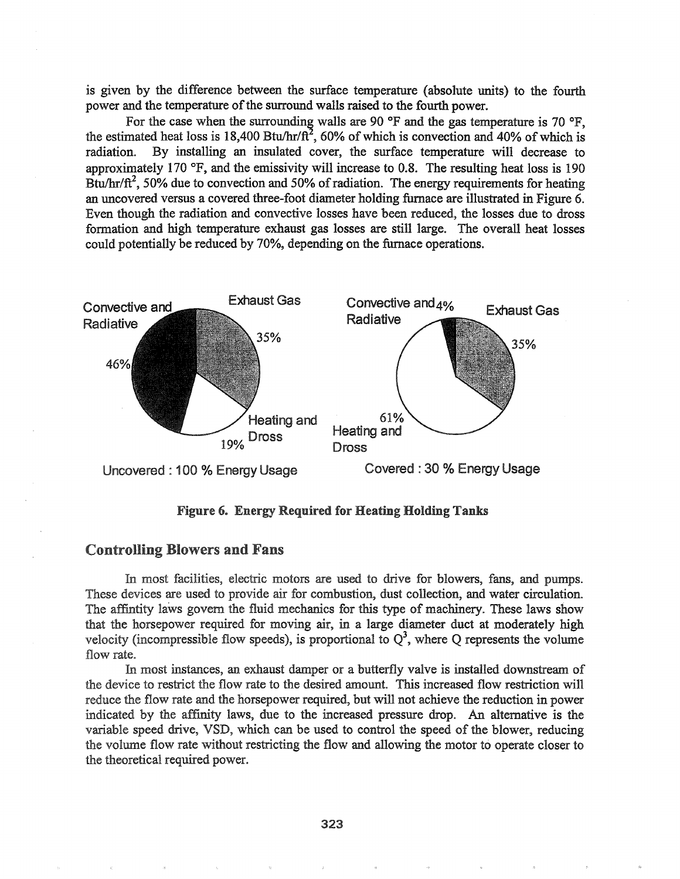is given by the difference between the surface temperature (absolute units) to the fourth power and the temperature of the surround walls raised to the fourth power.

For the case when the surrounding walls are 90  $\textdegree$ F and the gas temperature is 70  $\textdegree$ F. the estimated heat loss is 18,400 Btu/hr/ $\pi$ <sup>2</sup>, 60% of which is convection and 40% of which is radiation. By installing an insulated cover, the surface temperature will decrease to approximately 170  $\textdegree$ F, and the emissivity will increase to 0.8. The resulting heat loss is 190 Btu/hr/ft<sup>2</sup>, 50% due to convection and 50% of radiation. The energy requirements for heating an uncovered versus a covered three-foot diameter holding furnace are illustrated in Figure 6. Even though the radiation and convective losses have been reduced, the losses due to dross formation and high temperature exhaust gas losses are still large.. The overall heat losses could potentially be reduced by 70%, depending on the furnace operations.



Figure 6~ Energy Required for Heating Holding Tanks

# Controlling Blowers and Fans

In most facilities, electric motors are used to drive for blowers, fans, and pumps. These devices are used to provide air for combustion, dust collection, and water circulation. The affintity laws govern the fluid mechanics for this type of machinery. These laws show that the horsepower required for moving air, in a large diameter duct at moderately high velocity (incompressible flow speeds), is proportional to  $Q<sup>3</sup>$ , where Q represents the volume flow rate.

most instances, an exhaust damper or a butterfly valve is installed downstream of the device to restrict the flow rate to the desired amount. This increased flow restriction will reduce the flow rate and the horsepower required, but will not achieve the reduction in power indicated by the affinity laws, due to the increased pressure drop.. An alternative is the variable speed drive, VSD, which can be used to control the speed of the blower, reducing the volume flow rate without restricting the flow and allowing the motor to operate closer to the theoretical required power.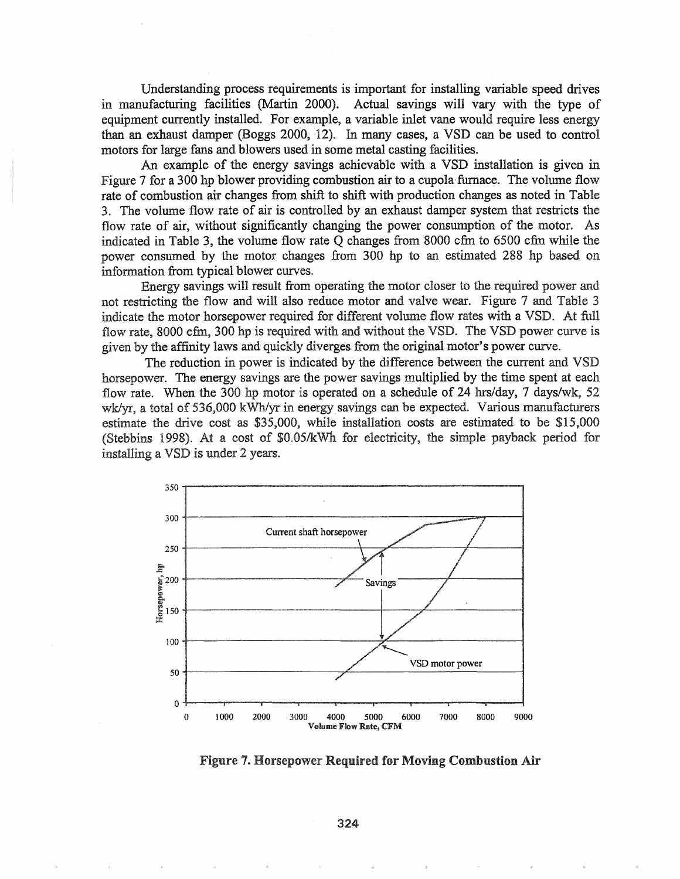Understanding process requirements is important for installing variable speed drives in manufacturing facilities (Martin 2000). Actual savings will vary with the type of equipment currently installed. For example, a variable inlet vane would require less energy than an exhaust damper (Boggs 2000, 12). In many cases, a VSD can be used to control motors for large fans and blowers used in some metal casting facilities.

An example of the energy savings achievable with a VSD installation is given in Figure 7 for a 300 hp blower providing combustion air to a cupola-furnace. The volume flow rate of combustion air changes from shift to shift with production changes as noted in Table 3. The volume flow rate of air is controlled by an exhaust damper system that restricts the flow rate of air, without significantly changing the power consumption of the motor. As indicated in Table 3, the volume flow rate  $Q$  changes from 8000 cfm to 6500 cfm while the power consumed by the motor changes from. 300 hp to an estimated 288 hp based on information from typical blower curves.

Energy savings will result from operating the motor closer to the required power and not restricting the flow and will' also reduce motor and valve wear. Figure 7 and Table 3 indicate the motor horsepower required for different volume flow rates with a VSD. At full flow rate, 8000 cfm, 300 hp is required with and without the VSD. The VSD power curve is given by the affinity laws and quickly diverges from the original motor's power curve.

The reduction in power is indicated by the difference between the current and VSD horsepower. The energy savings are the power savings multiplied by the time spent at each flow rate. When the 300 hp motor is operated on a schedule of 24 hrs/day, 7 days/wk, 52 wk/yr, a total of 536,000 kWh/yr in energy savings can be expected. Various manufacturers estimate the drive cost as \$35,000, while installation costs are estimated to be \$15,000 (Stebbins 1998). At a cost of  $$0.05/kWh$  for electricity, the simple payback period for installing a VSD is under 2 years.



Figure 7. Horsepower Required for Moving Combustion Air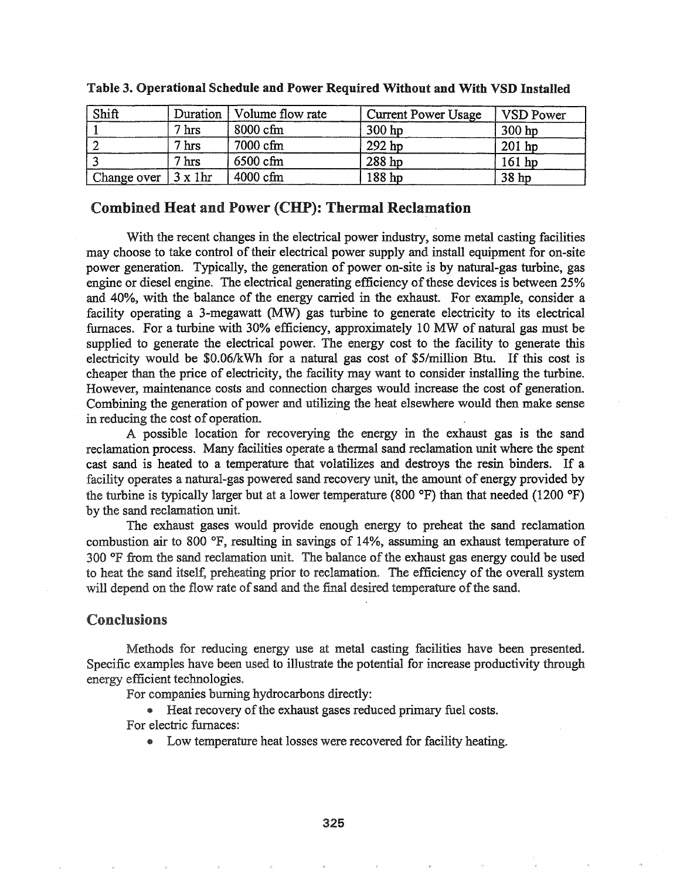| Shift       | Duration        | Volume flow rate   | <b>Current Power Usage</b> | <b>VSD Power</b> |
|-------------|-----------------|--------------------|----------------------------|------------------|
|             | $7 \text{ hrs}$ | $8000 \text{ cfm}$ | 300 hp                     | $300$ hp         |
|             | $7 \text{ hrs}$ | 7000 cfm           | 292 hp                     | $201$ hp         |
|             | $7 \text{ hrs}$ | 6500 cfm           | 288 hp                     | $161$ hp         |
| Change over | $3 \times 1$ hr | $4000$ cfm         | 188 hp                     | 38 hp            |

#### Table 3. Operational Schedule and Power Required Without and With VSD Installed

### Combined Heat and Power (CHP): Thermal Reclamation

With the recent changes in the electrical power industry, some metal casting facilities may choose to take control of their electrical power supply and install equipment for on-site power generation. Typically, the generation of power on-site is by natural-gas turbine, gas engine or diesel engine. The electrical generating efficiency of these devices is between 25% and 40%, with the balance of the energy carried in the exhaust. For example, consider a facility operating a 3-megawatt (MW) gas turbine to generate electricity to its electrical furnaces. For a turbine with 30% efficiency, approximately 10 MW of natural gas must be supplied to generate the electrical power. The energy cost to the facility to generate this electricity would be \$O.06/kWh for a natural gas cost of \$5/million Btu. If this cost is cheaper than the price of electricity, the facility may want to consider installing the turbine. However, maintenance costs and connection charges would increase the cost of generation.. Combining the generation of power and utilizing the heat elsewhere would then make sense in reducing the cost of operation.

A possible location for recoverying the energy in the exhaust gas is the sand reclamation process. Many facilities operate a thermal sand reclamation unit where the spent cast sand is heated to a temperature that volatilizes and destroys the resin binders. If a facility operates a natural-gas powered sand recovery unit, the amount of energy provided by the turbine is typically larger but at a lower temperature (800  $\textdegree$ F) than that needed (1200  $\textdegree$ F) by the sand reclamation unit.

The exhaust gases would provide enough energy to preheat the sand reclamation combustion air to 800  $\textdegree$ F, resulting in savings of 14%, assuming an exhaust temperature of  $300$  °F from the sand reclamation unit. The balance of the exhaust gas energy could be used to heat the sand itself, preheating prior to reclamation. The efficiency of the overall system will depend on the flow rate of sand and the final desired temperature of the sand.

## Conclusions

Methods for reducing energy use at metal casting facilities have been presented. Specific examples have been used to illustrate the potential for increase productivity through energy efficient technologies.

For companies burning hydrocarbons directly:

**•** Heat recovery of the exhaust gases reduced primary fuel costs. For electric furnaces:

• Low temperature heat losses were recovered for facility heating.